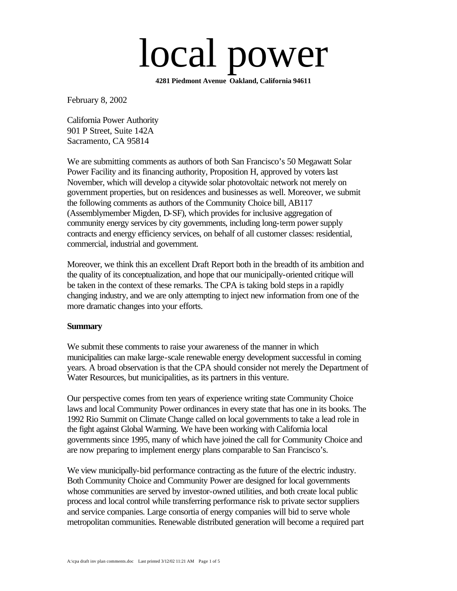# local power

**4281 Piedmont Avenue Oakland, California 94611**

February 8, 2002

California Power Authority 901 P Street, Suite 142A Sacramento, CA 95814

We are submitting comments as authors of both San Francisco's 50 Megawatt Solar Power Facility and its financing authority, Proposition H, approved by voters last November, which will develop a citywide solar photovoltaic network not merely on government properties, but on residences and businesses as well. Moreover, we submit the following comments as authors of the Community Choice bill, AB117 (Assemblymember Migden, D-SF), which provides for inclusive aggregation of community energy services by city governments, including long-term power supply contracts and energy efficiency services, on behalf of all customer classes: residential, commercial, industrial and government.

Moreover, we think this an excellent Draft Report both in the breadth of its ambition and the quality of its conceptualization, and hope that our municipally-oriented critique will be taken in the context of these remarks. The CPA is taking bold steps in a rapidly changing industry, and we are only attempting to inject new information from one of the more dramatic changes into your efforts.

#### **Summary**

We submit these comments to raise your awareness of the manner in which municipalities can make large-scale renewable energy development successful in coming years. A broad observation is that the CPA should consider not merely the Department of Water Resources, but municipalities, as its partners in this venture.

Our perspective comes from ten years of experience writing state Community Choice laws and local Community Power ordinances in every state that has one in its books. The 1992 Rio Summit on Climate Change called on local governments to take a lead role in the fight against Global Warming. We have been working with California local governments since 1995, many of which have joined the call for Community Choice and are now preparing to implement energy plans comparable to San Francisco's.

We view municipally-bid performance contracting as the future of the electric industry. Both Community Choice and Community Power are designed for local governments whose communities are served by investor-owned utilities, and both create local public process and local control while transferring performance risk to private sector suppliers and service companies. Large consortia of energy companies will bid to serve whole metropolitan communities. Renewable distributed generation will become a required part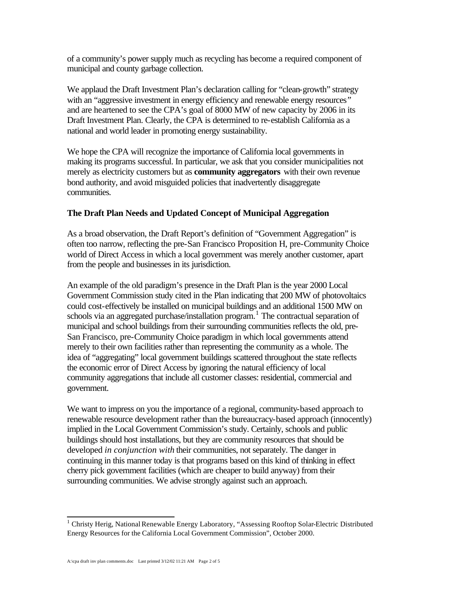of a community's power supply much as recycling has become a required component of municipal and county garbage collection.

We applaud the Draft Investment Plan's declaration calling for "clean-growth" strategy with an "aggressive investment in energy efficiency and renewable energy resources*"*  and are heartened to see the CPA's goal of 8000 MW of new capacity by 2006 in its Draft Investment Plan. Clearly, the CPA is determined to re-establish California as a national and world leader in promoting energy sustainability.

We hope the CPA will recognize the importance of California local governments in making its programs successful. In particular, we ask that you consider municipalities not merely as electricity customers but as **community aggregators** with their own revenue bond authority, and avoid misguided policies that inadvertently disaggregate communities.

# **The Draft Plan Needs and Updated Concept of Municipal Aggregation**

As a broad observation, the Draft Report's definition of "Government Aggregation" is often too narrow, reflecting the pre-San Francisco Proposition H, pre-Community Choice world of Direct Access in which a local government was merely another customer, apart from the people and businesses in its jurisdiction.

An example of the old paradigm's presence in the Draft Plan is the year 2000 Local Government Commission study cited in the Plan indicating that 200 MW of photovoltaics could cost-effectively be installed on municipal buildings and an additional 1500 MW on schools via an aggregated purchase/installation program.<sup>1</sup> The contractual separation of municipal and school buildings from their surrounding communities reflects the old, pre-San Francisco, pre-Community Choice paradigm in which local governments attend merely to their own facilities rather than representing the community as a whole. The idea of "aggregating" local government buildings scattered throughout the state reflects the economic error of Direct Access by ignoring the natural efficiency of local community aggregations that include all customer classes: residential, commercial and government.

We want to impress on you the importance of a regional, community-based approach to renewable resource development rather than the bureaucracy-based approach (innocently) implied in the Local Government Commission's study. Certainly, schools and public buildings should host installations, but they are community resources that should be developed *in conjunction with* their communities, not separately. The danger in continuing in this manner today is that programs based on this kind of thinking in effect cherry pick government facilities (which are cheaper to build anyway) from their surrounding communities. We advise strongly against such an approach.

 1 Christy Herig, National Renewable Energy Laboratory, "Assessing Rooftop Solar-Electric Distributed Energy Resources for the California Local Government Commission", October 2000.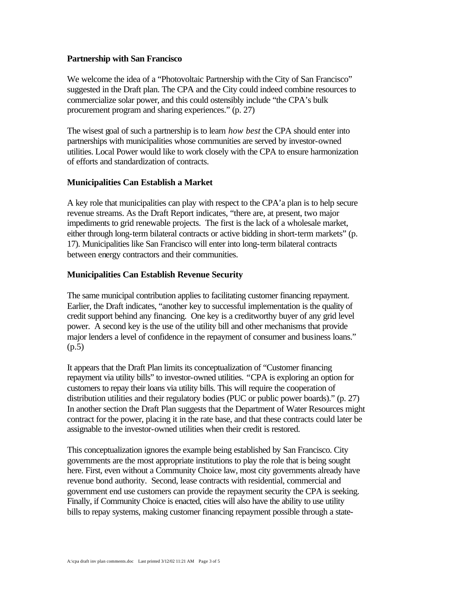#### **Partnership with San Francisco**

We welcome the idea of a "Photovoltaic Partnership with the City of San Francisco" suggested in the Draft plan. The CPA and the City could indeed combine resources to commercialize solar power, and this could ostensibly include "the CPA's bulk procurement program and sharing experiences." (p. 27)

The wisest goal of such a partnership is to learn *how best* the CPA should enter into partnerships with municipalities whose communities are served by investor-owned utilities. Local Power would like to work closely with the CPA to ensure harmonization of efforts and standardization of contracts.

#### **Municipalities Can Establish a Market**

A key role that municipalities can play with respect to the CPA'a plan is to help secure revenue streams. As the Draft Report indicates, "there are, at present, two major impediments to grid renewable projects. The first is the lack of a wholesale market, either through long-term bilateral contracts or active bidding in short-term markets" (p. 17). Municipalities like San Francisco will enter into long-term bilateral contracts between energy contractors and their communities.

#### **Municipalities Can Establish Revenue Security**

The same municipal contribution applies to facilitating customer financing repayment. Earlier, the Draft indicates, "another key to successful implementation is the quality of credit support behind any financing. One key is a creditworthy buyer of any grid level power. A second key is the use of the utility bill and other mechanisms that provide major lenders a level of confidence in the repayment of consumer and business loans." (p.5)

It appears that the Draft Plan limits its conceptualization of "Customer financing repayment via utility bills" to investor-owned utilities. *"*CPA is exploring an option for customers to repay their loans via utility bills. This will require the cooperation of distribution utilities and their regulatory bodies (PUC or public power boards)." (p. 27) In another section the Draft Plan suggests that the Department of Water Resources might contract for the power, placing it in the rate base, and that these contracts could later be assignable to the investor-owned utilities when their credit is restored.

This conceptualization ignores the example being established by San Francisco. City governments are the most appropriate institutions to play the role that is being sought here. First, even without a Community Choice law, most city governments already have revenue bond authority. Second, lease contracts with residential, commercial and government end use customers can provide the repayment security the CPA is seeking. Finally, if Community Choice is enacted, cities will also have the ability to use utility bills to repay systems, making customer financing repayment possible through a state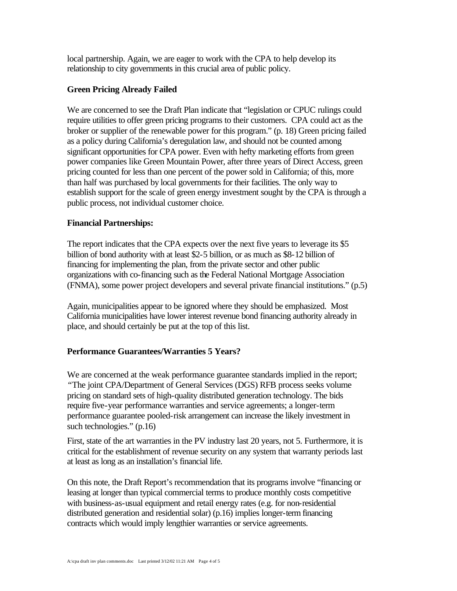local partnership. Again, we are eager to work with the CPA to help develop its relationship to city governments in this crucial area of public policy.

## **Green Pricing Already Failed**

We are concerned to see the Draft Plan indicate that "legislation or CPUC rulings could require utilities to offer green pricing programs to their customers. CPA could act as the broker or supplier of the renewable power for this program." (p. 18) Green pricing failed as a policy during California's deregulation law, and should not be counted among significant opportunities for CPA power. Even with hefty marketing efforts from green power companies like Green Mountain Power, after three years of Direct Access, green pricing counted for less than one percent of the power sold in California; of this, more than half was purchased by local governments for their facilities. The only way to establish support for the scale of green energy investment sought by the CPA is through a public process, not individual customer choice.

## **Financial Partnerships:**

The report indicates that the CPA expects over the next five years to leverage its \$5 billion of bond authority with at least \$2-5 billion, or as much as \$8-12 billion of financing for implementing the plan, from the private sector and other public organizations with co-financing such as the Federal National Mortgage Association (FNMA), some power project developers and several private financial institutions." (p.5)

Again, municipalities appear to be ignored where they should be emphasized. Most California municipalities have lower interest revenue bond financing authority already in place, and should certainly be put at the top of this list.

# **Performance Guarantees/Warranties 5 Years?**

We are concerned at the weak performance guarantee standards implied in the report; *"*The joint CPA/Department of General Services (DGS) RFB process seeks volume pricing on standard sets of high-quality distributed generation technology. The bids require five-year performance warranties and service agreements; a longer-term performance guarantee pooled-risk arrangement can increase the likely investment in such technologies." (p.16)

First, state of the art warranties in the PV industry last 20 years, not 5. Furthermore, it is critical for the establishment of revenue security on any system that warranty periods last at least as long as an installation's financial life.

On this note, the Draft Report's recommendation that its programs involve "financing or leasing at longer than typical commercial terms to produce monthly costs competitive with business-as-usual equipment and retail energy rates (e.g. for non-residential distributed generation and residential solar) (p.16) implies longer-term financing contracts which would imply lengthier warranties or service agreements.